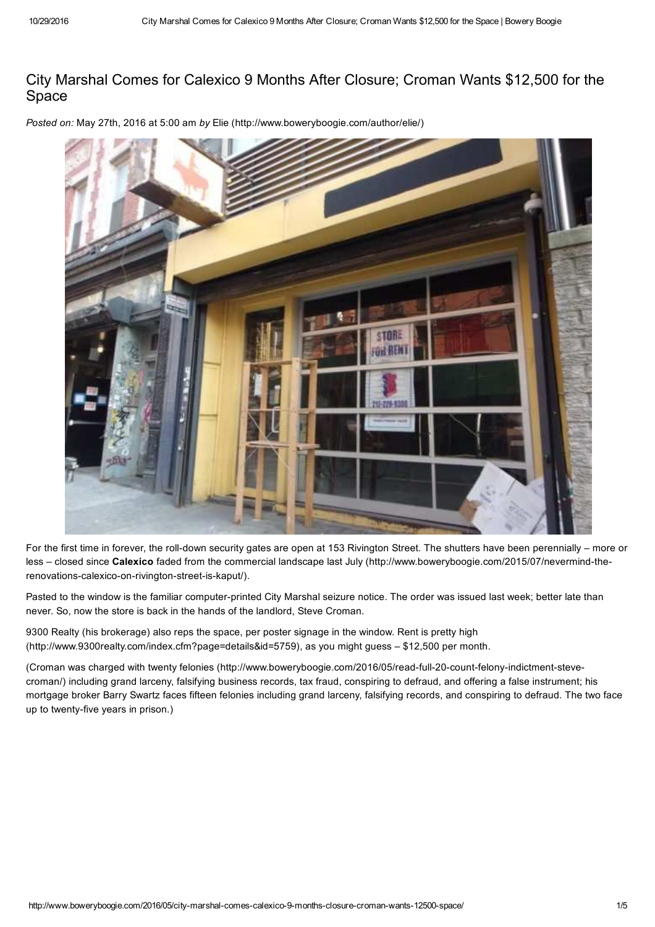## City Marshal Comes for Calexico 9 Months After Closure; Croman Wants \$12,500 for the Space

*Posted on:* May 27th, 2016 at 5:00 am *by* Elie (http://www.boweryboogie.com/author/elie/)



For the first time in forever, the roll-down security gates are open at 153 Rivington Street. The shutters have been perennially – more or less – closed since **Calexico** faded from the commercial landscape last July (http://www.boweryboogie.com/2015/07/nevermind-therenovations-calexico-on-rivington-street-is-kaput/).

Pasted to the window is the familiar computer-printed City Marshal seizure notice. The order was issued last week; better late than never. So, now the store is back in the hands of the landlord, Steve Croman.

9300 Realty (his brokerage) also reps the space, per poster signage in the window. Rent is pretty high (http://www.9300realty.com/index.cfm?page=details&id=5759), as you might guess – \$12,500 per month.

(Croman was charged with twenty felonies (http://www.boweryboogie.com/2016/05/read-full-20-count-felony-indictment-stevecroman/) including grand larceny, falsifying business records, tax fraud, conspiring to defraud, and offering a false instrument; his mortgage broker Barry Swartz faces fifteen felonies including grand larceny, falsifying records, and conspiring to defraud. The two face up to twenty-five years in prison.)